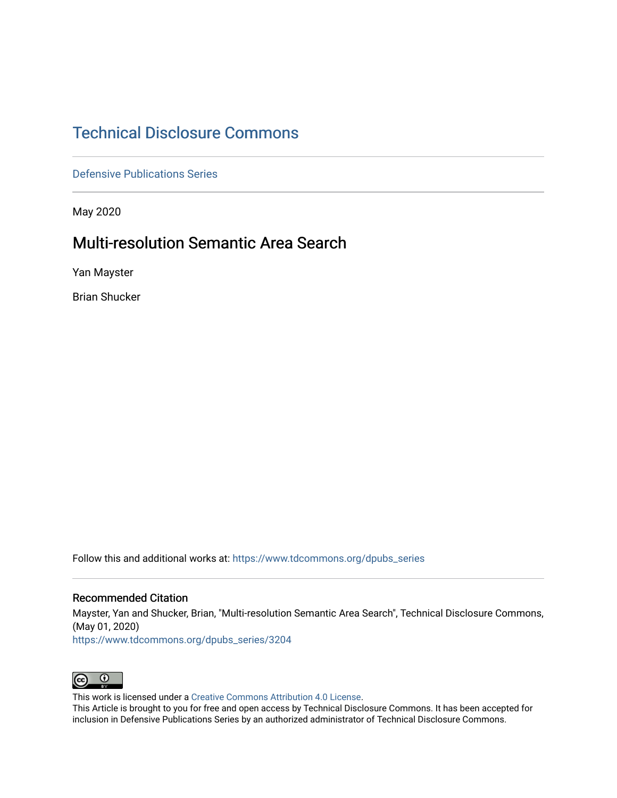# [Technical Disclosure Commons](https://www.tdcommons.org/)

[Defensive Publications Series](https://www.tdcommons.org/dpubs_series)

May 2020

# Multi-resolution Semantic Area Search

Yan Mayster

Brian Shucker

Follow this and additional works at: [https://www.tdcommons.org/dpubs\\_series](https://www.tdcommons.org/dpubs_series?utm_source=www.tdcommons.org%2Fdpubs_series%2F3204&utm_medium=PDF&utm_campaign=PDFCoverPages) 

#### Recommended Citation

Mayster, Yan and Shucker, Brian, "Multi-resolution Semantic Area Search", Technical Disclosure Commons, (May 01, 2020)

[https://www.tdcommons.org/dpubs\\_series/3204](https://www.tdcommons.org/dpubs_series/3204?utm_source=www.tdcommons.org%2Fdpubs_series%2F3204&utm_medium=PDF&utm_campaign=PDFCoverPages)



This work is licensed under a [Creative Commons Attribution 4.0 License](http://creativecommons.org/licenses/by/4.0/deed.en_US).

This Article is brought to you for free and open access by Technical Disclosure Commons. It has been accepted for inclusion in Defensive Publications Series by an authorized administrator of Technical Disclosure Commons.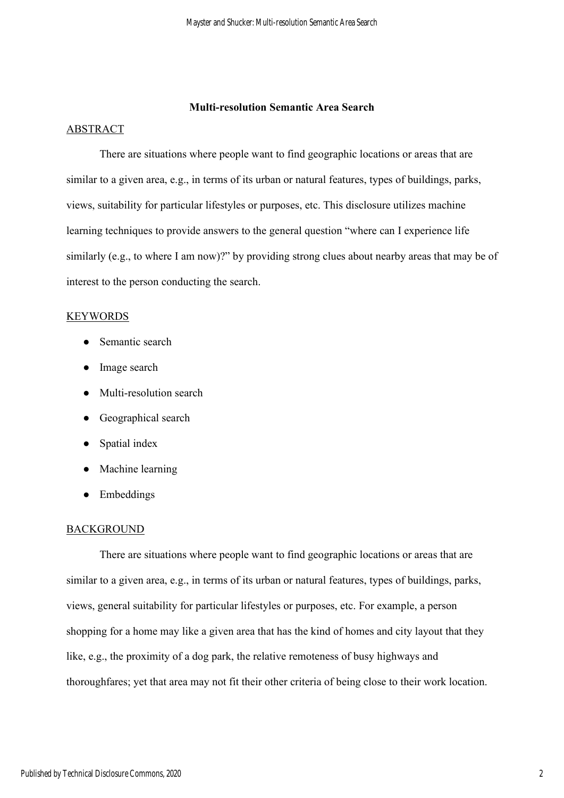## **Multi-resolution Semantic Area Search**

#### ABSTRACT

There are situations where people want to find geographic locations or areas that are similar to a given area, e.g., in terms of its urban or natural features, types of buildings, parks, views, suitability for particular lifestyles or purposes, etc. This disclosure utilizes machine learning techniques to provide answers to the general question "where can I experience life similarly (e.g., to where I am now)?" by providing strong clues about nearby areas that may be of interest to the person conducting the search.

## KEYWORDS

- Semantic search
- Image search
- Multi-resolution search
- Geographical search
- Spatial index
- Machine learning
- Embeddings

#### BACKGROUND

There are situations where people want to find geographic locations or areas that are similar to a given area, e.g., in terms of its urban or natural features, types of buildings, parks, views, general suitability for particular lifestyles or purposes, etc. For example, a person shopping for a home may like a given area that has the kind of homes and city layout that they like, e.g., the proximity of a dog park, the relative remoteness of busy highways and thoroughfares; yet that area may not fit their other criteria of being close to their work location.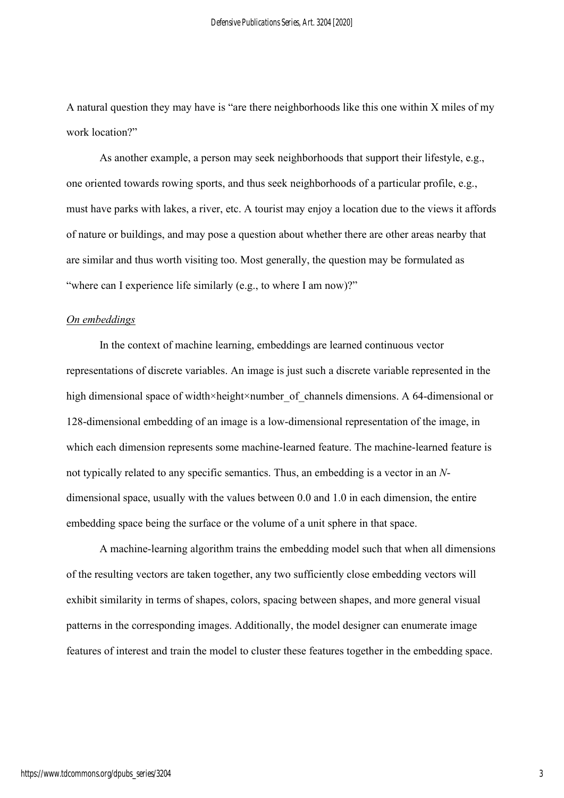A natural question they may have is "are there neighborhoods like this one within X miles of my work location?"

As another example, a person may seek neighborhoods that support their lifestyle, e.g., one oriented towards rowing sports, and thus seek neighborhoods of a particular profile, e.g., must have parks with lakes, a river, etc. A tourist may enjoy a location due to the views it affords of nature or buildings, and may pose a question about whether there are other areas nearby that are similar and thus worth visiting too. Most generally, the question may be formulated as "where can I experience life similarly (e.g., to where I am now)?"

# *On embeddings*

In the context of machine learning, embeddings are learned continuous vector representations of discrete variables. An image is just such a discrete variable represented in the high dimensional space of width×height×number of channels dimensions. A 64-dimensional or 128-dimensional embedding of an image is a low-dimensional representation of the image, in which each dimension represents some machine-learned feature. The machine-learned feature is not typically related to any specific semantics. Thus, an embedding is a vector in an *N*dimensional space, usually with the values between 0.0 and 1.0 in each dimension, the entire embedding space being the surface or the volume of a unit sphere in that space.

A machine-learning algorithm trains the embedding model such that when all dimensions of the resulting vectors are taken together, any two sufficiently close embedding vectors will exhibit similarity in terms of shapes, colors, spacing between shapes, and more general visual patterns in the corresponding images. Additionally, the model designer can enumerate image features of interest and train the model to cluster these features together in the embedding space.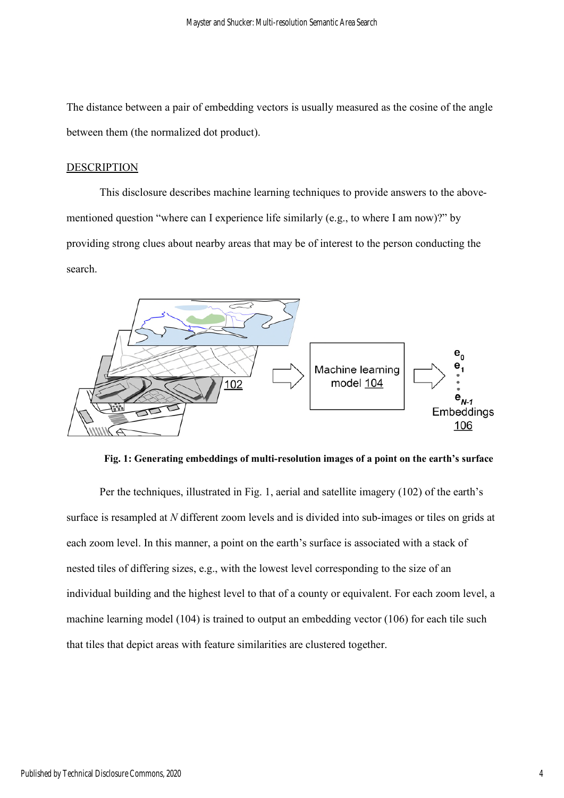The distance between a pair of embedding vectors is usually measured as the cosine of the angle between them (the normalized dot product).

#### DESCRIPTION

This disclosure describes machine learning techniques to provide answers to the abovementioned question "where can I experience life similarly (e.g., to where I am now)?" by providing strong clues about nearby areas that may be of interest to the person conducting the search.



**Fig. 1: Generating embeddings of multi-resolution images of a point on the earth's surface**

Per the techniques, illustrated in Fig. 1, aerial and satellite imagery (102) of the earth's surface is resampled at *N* different zoom levels and is divided into sub-images or tiles on grids at each zoom level. In this manner, a point on the earth's surface is associated with a stack of nested tiles of differing sizes, e.g., with the lowest level corresponding to the size of an individual building and the highest level to that of a county or equivalent. For each zoom level, a machine learning model (104) is trained to output an embedding vector (106) for each tile such that tiles that depict areas with feature similarities are clustered together.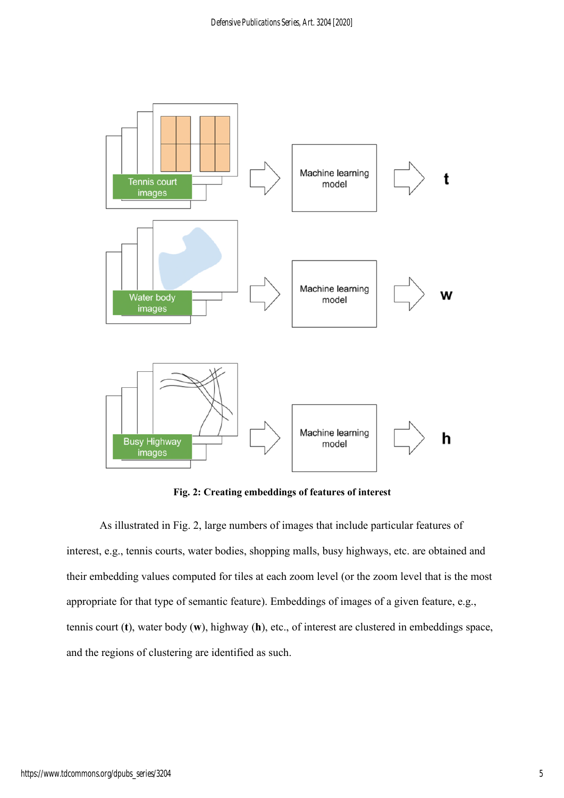

**Fig. 2: Creating embeddings of features of interest** 

As illustrated in Fig. 2, large numbers of images that include particular features of interest, e.g., tennis courts, water bodies, shopping malls, busy highways, etc. are obtained and their embedding values computed for tiles at each zoom level (or the zoom level that is the most appropriate for that type of semantic feature). Embeddings of images of a given feature, e.g., tennis court (**t**), water body (**w**), highway (**h**), etc., of interest are clustered in embeddings space, and the regions of clustering are identified as such.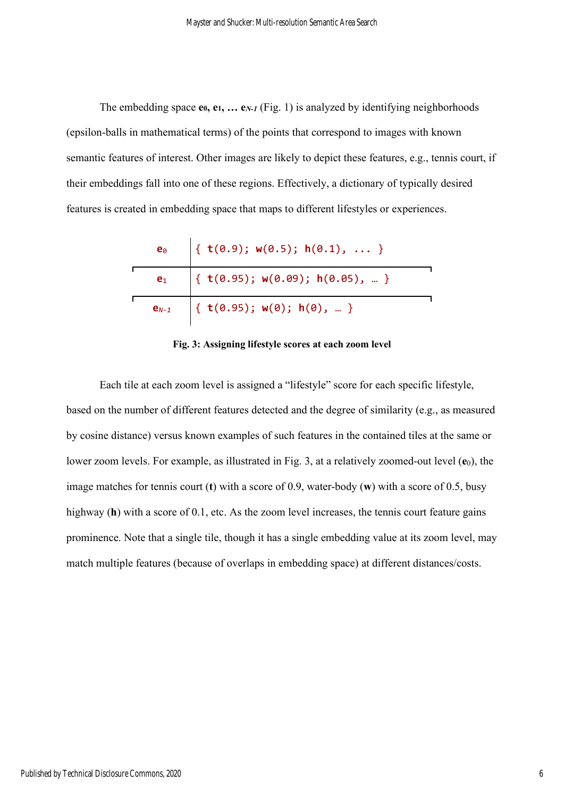The embedding space **e0, e1, … e***N-1* (Fig. 1) is analyzed by identifying neighborhoods (epsilon-balls in mathematical terms) of the points that correspond to images with known semantic features of interest. Other images are likely to depict these features, e.g., tennis court, if their embeddings fall into one of these regions. Effectively, a dictionary of typically desired features is created in embedding space that maps to different lifestyles or experiences.

| $\mathbf{e}_\theta$ | { $t(0.9)$ ; $w(0.5)$ ; h(0.1),  }       |  |
|---------------------|------------------------------------------|--|
| $e_1$               | { $t(0.95)$ ; $w(0.09)$ ; $h(0.05)$ ,  } |  |
| $e_{N-1}$           | { $t(0.95)$ ; $w(0)$ ; $h(0)$ ,  }       |  |

**Fig. 3: Assigning lifestyle scores at each zoom level** 

Each tile at each zoom level is assigned a "lifestyle" score for each specific lifestyle, based on the number of different features detected and the degree of similarity (e.g., as measured by cosine distance) versus known examples of such features in the contained tiles at the same or lower zoom levels. For example, as illustrated in Fig. 3, at a relatively zoomed-out level ( $e_0$ ), the image matches for tennis court (**t**) with a score of 0.9, water-body (**w**) with a score of 0.5, busy highway (**h**) with a score of 0.1, etc. As the zoom level increases, the tennis court feature gains prominence. Note that a single tile, though it has a single embedding value at its zoom level, may match multiple features (because of overlaps in embedding space) at different distances/costs.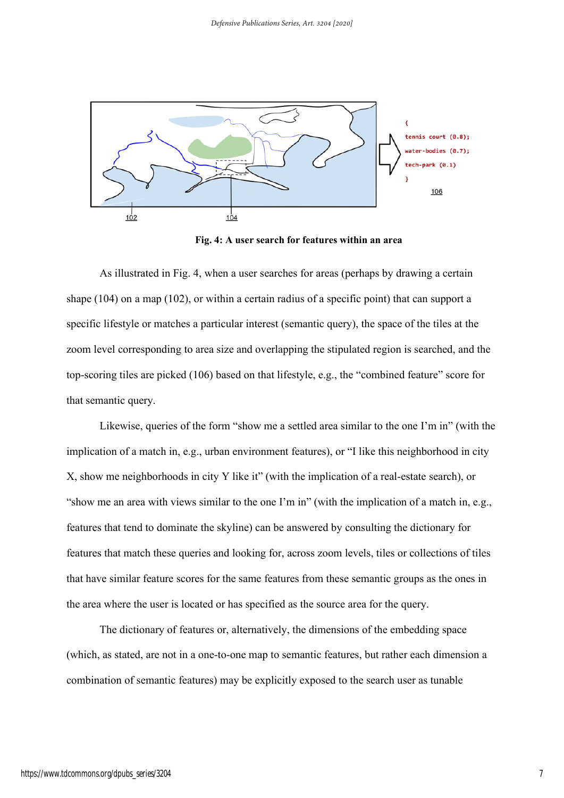

**Fig. 4: A user search for features within an area**

As illustrated in Fig. 4, when a user searches for areas (perhaps by drawing a certain shape (104) on a map (102), or within a certain radius of a specific point) that can support a specific lifestyle or matches a particular interest (semantic query), the space of the tiles at the zoom level corresponding to area size and overlapping the stipulated region is searched, and the top-scoring tiles are picked (106) based on that lifestyle, e.g., the "combined feature" score for that semantic query.

Likewise, queries of the form "show me a settled area similar to the one I'm in" (with the implication of a match in, e.g., urban environment features), or "I like this neighborhood in city X, show me neighborhoods in city Y like it" (with the implication of a real-estate search), or "show me an area with views similar to the one I'm in" (with the implication of a match in, e.g., features that tend to dominate the skyline) can be answered by consulting the dictionary for features that match these queries and looking for, across zoom levels, tiles or collections of tiles that have similar feature scores for the same features from these semantic groups as the ones in the area where the user is located or has specified as the source area for the query.

The dictionary of features or, alternatively, the dimensions of the embedding space (which, as stated, are not in a one-to-one map to semantic features, but rather each dimension a combination of semantic features) may be explicitly exposed to the search user as tunable